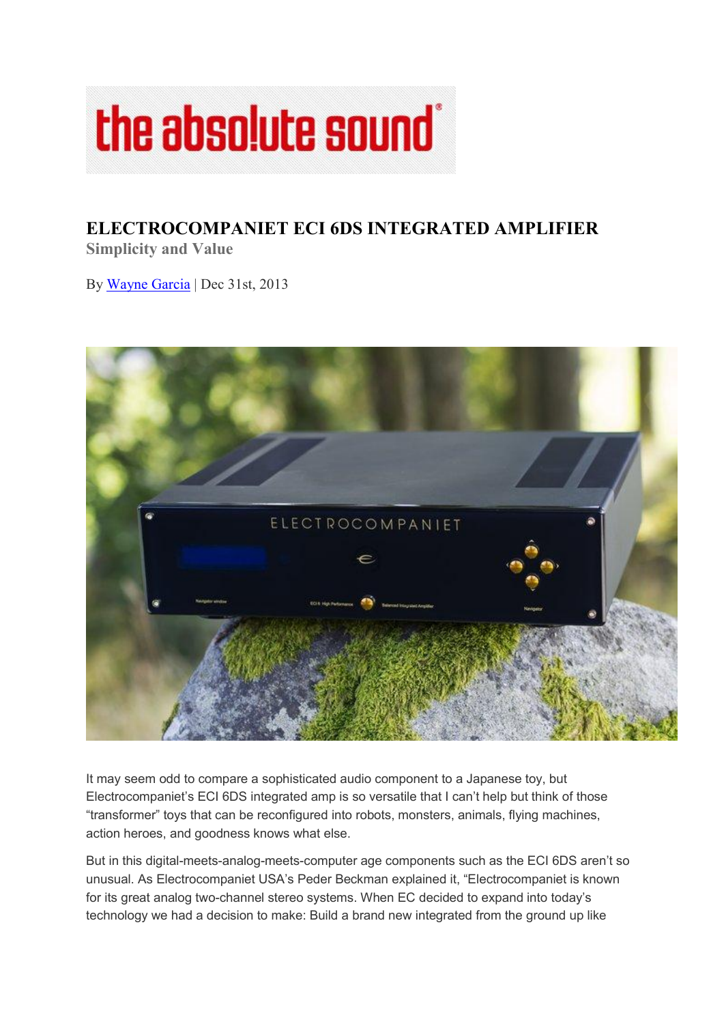

## ELECTROCOMPANIET ECI 6DS INTEGRATED AMPLIFIER

Simplicity and Value

By Wayne Garcia | Dec 31st, 2013



It may seem odd to compare a sophisticated audio component to a Japanese toy, but Electrocompaniet's ECI 6DS integrated amp is so versatile that I can't help but think of those "transformer" toys that can be reconfigured into robots, monsters, animals, flying machines, action heroes, and goodness knows what else.

But in this digital-meets-analog-meets-computer age components such as the ECI 6DS aren't so unusual. As Electrocompaniet USA's Peder Beckman explained it, "Electrocompaniet is known for its great analog two-channel stereo systems. When EC decided to expand into today's technology we had a decision to make: Build a brand new integrated from the ground up like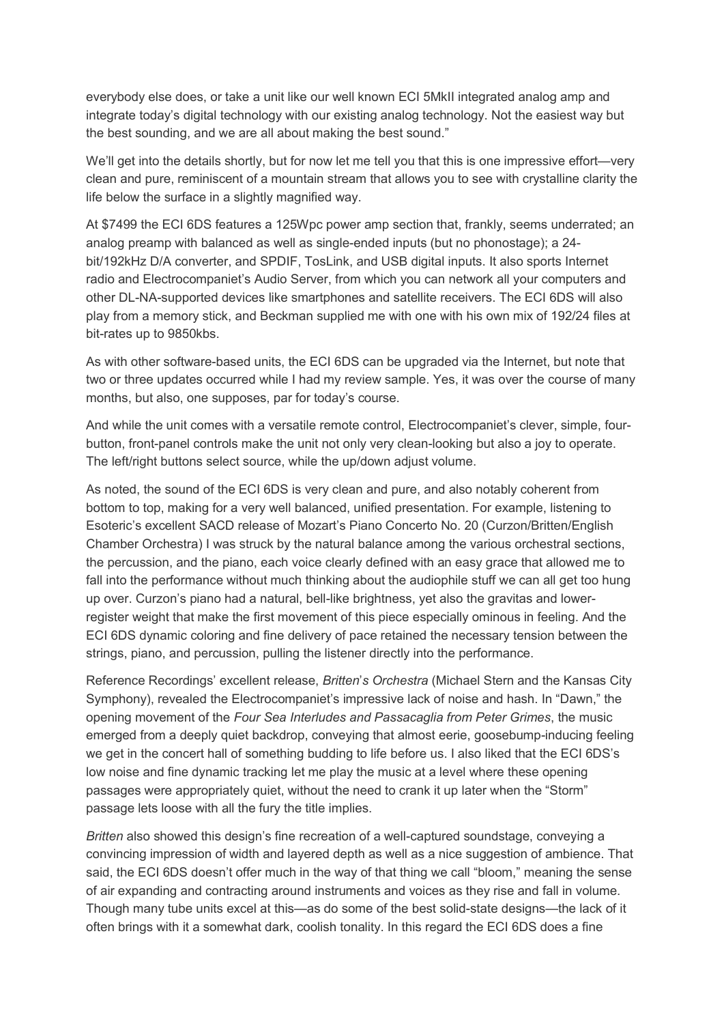everybody else does, or take a unit like our well known ECI 5MkII integrated analog amp and integrate today's digital technology with our existing analog technology. Not the easiest way but the best sounding, and we are all about making the best sound."

We'll get into the details shortly, but for now let me tell you that this is one impressive effort—very clean and pure, reminiscent of a mountain stream that allows you to see with crystalline clarity the life below the surface in a slightly magnified way.

At \$7499 the ECI 6DS features a 125Wpc power amp section that, frankly, seems underrated; an analog preamp with balanced as well as single-ended inputs (but no phonostage); a 24 bit/192kHz D/A converter, and SPDIF, TosLink, and USB digital inputs. It also sports Internet radio and Electrocompaniet's Audio Server, from which you can network all your computers and other DL-NA-supported devices like smartphones and satellite receivers. The ECI 6DS will also play from a memory stick, and Beckman supplied me with one with his own mix of 192/24 files at bit-rates up to 9850kbs.

As with other software-based units, the ECI 6DS can be upgraded via the Internet, but note that two or three updates occurred while I had my review sample. Yes, it was over the course of many months, but also, one supposes, par for today's course.

And while the unit comes with a versatile remote control, Electrocompaniet's clever, simple, fourbutton, front-panel controls make the unit not only very clean-looking but also a joy to operate. The left/right buttons select source, while the up/down adjust volume.

As noted, the sound of the ECI 6DS is very clean and pure, and also notably coherent from bottom to top, making for a very well balanced, unified presentation. For example, listening to Esoteric's excellent SACD release of Mozart's Piano Concerto No. 20 (Curzon/Britten/English Chamber Orchestra) I was struck by the natural balance among the various orchestral sections, the percussion, and the piano, each voice clearly defined with an easy grace that allowed me to fall into the performance without much thinking about the audiophile stuff we can all get too hung up over. Curzon's piano had a natural, bell-like brightness, yet also the gravitas and lowerregister weight that make the first movement of this piece especially ominous in feeling. And the ECI 6DS dynamic coloring and fine delivery of pace retained the necessary tension between the strings, piano, and percussion, pulling the listener directly into the performance.

Reference Recordings' excellent release, *Britten*'*s Orchestra* (Michael Stern and the Kansas City Symphony), revealed the Electrocompaniet's impressive lack of noise and hash. In "Dawn," the opening movement of the *Four Sea Interludes and Passacaglia from Peter Grimes*, the music emerged from a deeply quiet backdrop, conveying that almost eerie, goosebump-inducing feeling we get in the concert hall of something budding to life before us. I also liked that the ECI 6DS's low noise and fine dynamic tracking let me play the music at a level where these opening passages were appropriately quiet, without the need to crank it up later when the "Storm" passage lets loose with all the fury the title implies.

*Britten* also showed this design's fine recreation of a well-captured soundstage, conveying a convincing impression of width and layered depth as well as a nice suggestion of ambience. That said, the ECI 6DS doesn't offer much in the way of that thing we call "bloom," meaning the sense of air expanding and contracting around instruments and voices as they rise and fall in volume. Though many tube units excel at this—as do some of the best solid-state designs—the lack of it often brings with it a somewhat dark, coolish tonality. In this regard the ECI 6DS does a fine